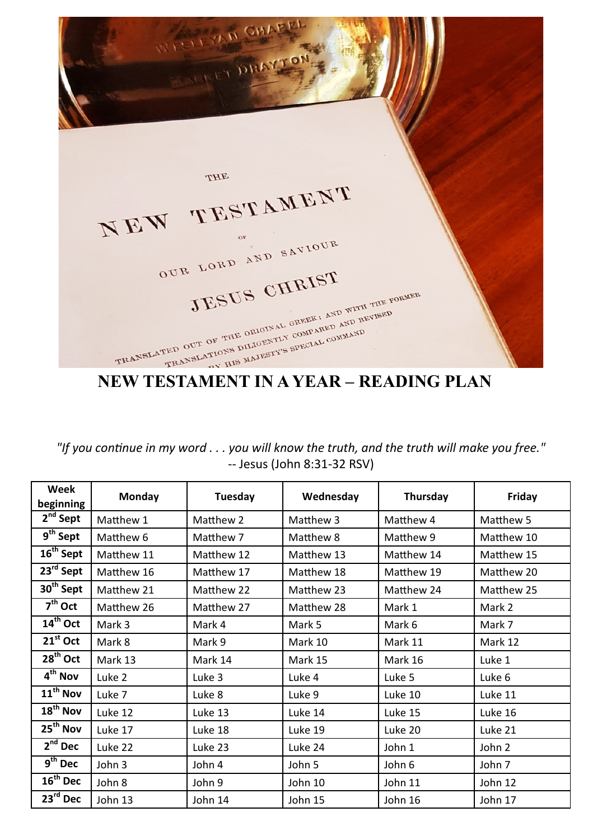**STEYAN CHAPPI** DHAYTO THE NEW TESTAMENT OUR LORD AND SAVIOUR JESUS CHRIST TRANSLATED OUT OF THE ORIGINAL GREEK: AND WITH THE FORMER CORMANY CORPARED AND REVISED

*"If you continue in my word . . . you will know the truth, and the truth will make you free."* -- Jesus (John 8:31-32 RSV)

| Week<br>beginning      | <b>Monday</b> | Tuesday    | Wednesday  | Thursday   | Friday     |
|------------------------|---------------|------------|------------|------------|------------|
| $2^{nd}$ Sept          | Matthew 1     | Matthew 2  | Matthew 3  | Matthew 4  | Matthew 5  |
| 9 <sup>th</sup> Sept   | Matthew 6     | Matthew 7  | Matthew 8  | Matthew 9  | Matthew 10 |
| 16 <sup>th</sup> Sept  | Matthew 11    | Matthew 12 | Matthew 13 | Matthew 14 | Matthew 15 |
| 23rd Sept              | Matthew 16    | Matthew 17 | Matthew 18 | Matthew 19 | Matthew 20 |
| 30 <sup>th</sup> Sept  | Matthew 21    | Matthew 22 | Matthew 23 | Matthew 24 | Matthew 25 |
| $7th$ Oct              | Matthew 26    | Matthew 27 | Matthew 28 | Mark 1     | Mark 2     |
| 14 <sup>th</sup> Oct   | Mark 3        | Mark 4     | Mark 5     | Mark 6     | Mark 7     |
| $21st$ Oct             | Mark 8        | Mark 9     | Mark 10    | Mark 11    | Mark 12    |
| 28 <sup>th</sup> Oct   | Mark 13       | Mark 14    | Mark 15    | Mark 16    | Luke 1     |
| 4 <sup>th</sup> Nov    | Luke 2        | Luke 3     | Luke 4     | Luke 5     | Luke 6     |
| 11 <sup>th</sup> Nov   | Luke 7        | Luke 8     | Luke 9     | Luke 10    | Luke 11    |
| $18^{\mathsf{th}}$ Nov | Luke 12       | Luke 13    | Luke 14    | Luke 15    | Luke 16    |
| 25 <sup>th</sup> Nov   | Luke 17       | Luke 18    | Luke 19    | Luke 20    | Luke 21    |
| $2nd$ Dec              | Luke 22       | Luke 23    | Luke 24    | John 1     | John 2     |
| $9th$ Dec              | John 3        | John 4     | John 5     | John 6     | John 7     |
| $16^{\text{th}}$ Dec   | John 8        | John 9     | John 10    | John 11    | John 12    |
| 23rd Dec               | John 13       | John 14    | John 15    | John 16    | John 17    |